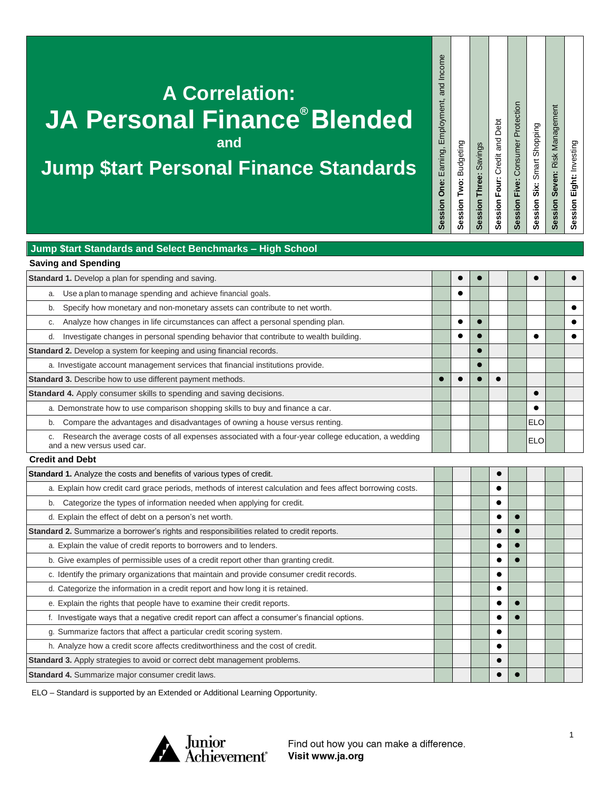# **A Correlation: JA Personal Finance® Blended**

**and**

# **Jump \$tart Personal Finance Standards**

| Session Two: Budgeting | Session Three: Savings | Session Four: Credit and Debt |
|------------------------|------------------------|-------------------------------|
|------------------------|------------------------|-------------------------------|

**Session Four:** Credit and Debt

**Session Five:** Consumer Protection

Session Five: Consumer Protection

**Session Six:** Smart Shopping

Session Six: Smart Shopping

**Session One:** Earning, Employment, and Income

Session One: Earning, Employment, and Income

**Session Eight:** Investing Session Eight: Investing

**Session Seven:** Risk Management

Session Seven: Risk Management

#### **Jump \$tart Standards and Select Benchmarks – High School**

| <b>Saving and Spending</b>                                                                                                        |  |  |            |           |
|-----------------------------------------------------------------------------------------------------------------------------------|--|--|------------|-----------|
| <b>Standard 1.</b> Develop a plan for spending and saving.                                                                        |  |  | $\bullet$  | $\bullet$ |
| Use a plan to manage spending and achieve financial goals.<br>a.                                                                  |  |  |            |           |
| Specify how monetary and non-monetary assets can contribute to net worth.<br>b.                                                   |  |  |            |           |
| Analyze how changes in life circumstances can affect a personal spending plan.                                                    |  |  |            |           |
| Investigate changes in personal spending behavior that contribute to wealth building.<br>d.                                       |  |  |            |           |
| <b>Standard 2.</b> Develop a system for keeping and using financial records.                                                      |  |  |            |           |
| a. Investigate account management services that financial institutions provide.                                                   |  |  |            |           |
| <b>Standard 3.</b> Describe how to use different payment methods.                                                                 |  |  |            |           |
| <b>Standard 4.</b> Apply consumer skills to spending and saving decisions.                                                        |  |  | $\bullet$  |           |
| a. Demonstrate how to use comparison shopping skills to buy and finance a car.                                                    |  |  |            |           |
| Compare the advantages and disadvantages of owning a house versus renting.<br>b.                                                  |  |  | <b>ELO</b> |           |
| Research the average costs of all expenses associated with a four-year college education, a wedding<br>and a new versus used car. |  |  | <b>ELO</b> |           |
| <b>Credit and Debt</b>                                                                                                            |  |  |            |           |
|                                                                                                                                   |  |  |            |           |

| <b>Standard 1.</b> Analyze the costs and benefits of various types of credit.                              |  | $\bullet$ |           |  |  |
|------------------------------------------------------------------------------------------------------------|--|-----------|-----------|--|--|
| a. Explain how credit card grace periods, methods of interest calculation and fees affect borrowing costs. |  | ٠         |           |  |  |
| Categorize the types of information needed when applying for credit.<br>b.                                 |  |           |           |  |  |
| d. Explain the effect of debt on a person's net worth.                                                     |  | $\bullet$ | $\bullet$ |  |  |
| <b>Standard 2.</b> Summarize a borrower's rights and responsibilities related to credit reports.           |  |           | $\bullet$ |  |  |
| a. Explain the value of credit reports to borrowers and to lenders.                                        |  |           |           |  |  |
| b. Give examples of permissible uses of a credit report other than granting credit.                        |  |           |           |  |  |
| c. Identify the primary organizations that maintain and provide consumer credit records.                   |  |           |           |  |  |
| d. Categorize the information in a credit report and how long it is retained.                              |  | $\bullet$ |           |  |  |
| e. Explain the rights that people have to examine their credit reports.                                    |  |           |           |  |  |
| Investigate ways that a negative credit report can affect a consumer's financial options.                  |  |           |           |  |  |
| g. Summarize factors that affect a particular credit scoring system.                                       |  |           |           |  |  |
| h. Analyze how a credit score affects creditworthiness and the cost of credit.                             |  |           |           |  |  |
| <b>Standard 3.</b> Apply strategies to avoid or correct debt management problems.                          |  | $\bullet$ |           |  |  |
| Standard 4. Summarize major consumer credit laws.                                                          |  |           |           |  |  |

ELO – Standard is supported by an Extended or Additional Learning Opportunity.

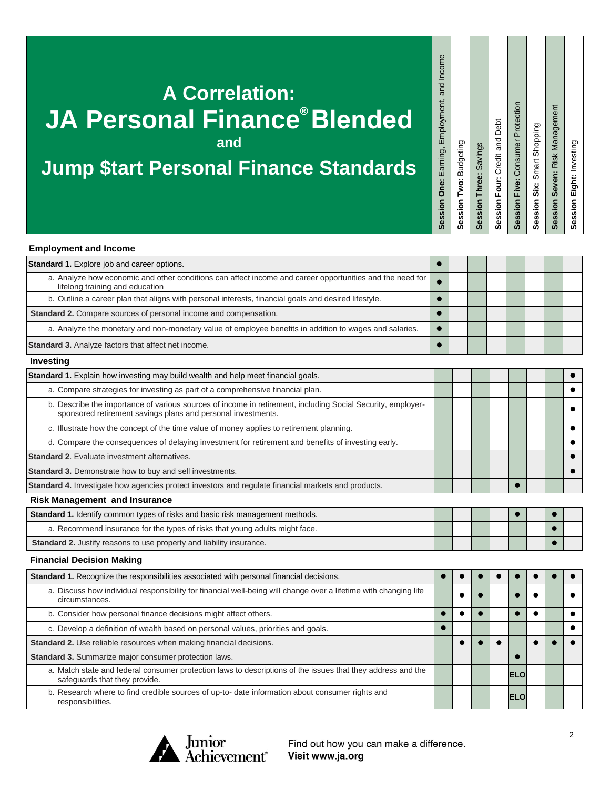## **A Correlation: JA Personal Finance® Blended and**

## **Jump \$tart Personal Finance Standards**

Session Five: Consumer Protection **Session Five:** Consumer Protection Session Four: Credit and Debt **Session Four:** Credit and Debt Session Three: Savings **Session Three:** Savings

**Session Six:** Smart Shopping

Session Six: Smart Shopping

**Session Seven:** Risk Management

Session Seven: Risk Management

**Session Eight:** Investing

Session Eight: Investing

**Session One:** Earning, Employment, and Income

Session One: Earning, Employment, and Income

**Session Two:** Budgeting

Session Two: Budgeting

| <b>Employment and Income</b>                                                                                                                                                |           |  |  |           |           |
|-----------------------------------------------------------------------------------------------------------------------------------------------------------------------------|-----------|--|--|-----------|-----------|
| Standard 1. Explore job and career options.                                                                                                                                 |           |  |  |           |           |
| a. Analyze how economic and other conditions can affect income and career opportunities and the need for<br>lifelong training and education                                 |           |  |  |           |           |
| b. Outline a career plan that aligns with personal interests, financial goals and desired lifestyle.                                                                        |           |  |  |           |           |
| Standard 2. Compare sources of personal income and compensation.                                                                                                            |           |  |  |           |           |
| a. Analyze the monetary and non-monetary value of employee benefits in addition to wages and salaries.                                                                      |           |  |  |           |           |
| <b>Standard 3.</b> Analyze factors that affect net income.                                                                                                                  |           |  |  |           |           |
| Investing                                                                                                                                                                   |           |  |  |           |           |
| <b>Standard 1.</b> Explain how investing may build wealth and help meet financial goals.                                                                                    |           |  |  |           |           |
| a. Compare strategies for investing as part of a comprehensive financial plan.                                                                                              |           |  |  |           |           |
| b. Describe the importance of various sources of income in retirement, including Social Security, employer-<br>sponsored retirement savings plans and personal investments. |           |  |  |           |           |
| c. Illustrate how the concept of the time value of money applies to retirement planning.                                                                                    |           |  |  |           |           |
| d. Compare the consequences of delaying investment for retirement and benefits of investing early.                                                                          |           |  |  |           |           |
| <b>Standard 2.</b> Evaluate investment alternatives.                                                                                                                        |           |  |  |           |           |
| Standard 3. Demonstrate how to buy and sell investments.                                                                                                                    |           |  |  |           | $\bullet$ |
| Standard 4. Investigate how agencies protect investors and regulate financial markets and products.                                                                         |           |  |  |           |           |
| <b>Risk Management and Insurance</b>                                                                                                                                        |           |  |  |           |           |
| <b>Standard 1.</b> Identify common types of risks and basic risk management methods.                                                                                        |           |  |  |           |           |
| a. Recommend insurance for the types of risks that young adults might face.                                                                                                 |           |  |  |           |           |
| Standard 2. Justify reasons to use property and liability insurance.                                                                                                        |           |  |  |           |           |
| <b>Financial Decision Making</b>                                                                                                                                            |           |  |  |           |           |
| Standard 1. Recognize the responsibilities associated with personal financial decisions.                                                                                    | $\bullet$ |  |  | $\bullet$ |           |
| a. Discuss how individual responsibility for financial well-being will change over a lifetime with changing life<br>circumstances.                                          |           |  |  |           |           |
| b. Consider how personal finance decisions might affect others.                                                                                                             |           |  |  |           |           |

| b. Consider how personal finance decisions might affect others.                                                                              |  |  |            |  |  |
|----------------------------------------------------------------------------------------------------------------------------------------------|--|--|------------|--|--|
| c. Develop a definition of wealth based on personal values, priorities and goals.                                                            |  |  |            |  |  |
| <b>Standard 2.</b> Use reliable resources when making financial decisions.                                                                   |  |  |            |  |  |
| Standard 3. Summarize major consumer protection laws.                                                                                        |  |  |            |  |  |
| a. Match state and federal consumer protection laws to descriptions of the issues that they address and the<br>safeguards that they provide. |  |  | <b>ELO</b> |  |  |
| b. Research where to find credible sources of up-to- date information about consumer rights and<br>responsibilities.                         |  |  | <b>ELO</b> |  |  |



Find out how you can make a difference. Visit www.ja.org